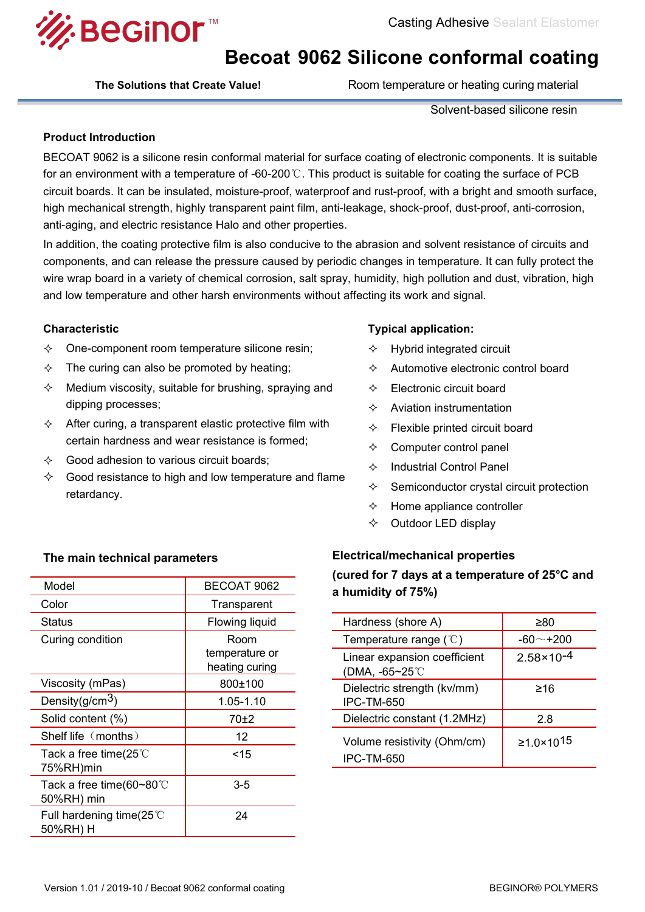

# **Becoat 9062 Silicone conformal coating**

**The Solutions that Create Value!** Room temperature or heating curing material

Solvent-based silicone resin

### **Product Introduction**

BECOAT 9062 is a silicone resin conformal material for surface coating of electronic components. It is suitable for an environment with a temperature of -60-200℃. This product is suitable for coating the surface of PCB circuit boards. It can be insulated, moisture-proof, waterproof and rust-proof, with a bright and smooth surface, high mechanical strength, highly transparent paint film, anti-leakage, shock-proof, dust-proof, anti-corrosion, anti-aging, and electric resistance Halo and other properties.

In addition, the coating protective film is also conducive to the abrasion and solvent resistance of circuits and components, and can release the pressure caused by periodic changes in temperature. It can fully protect the wire wrap board in a variety of chemical corrosion, salt spray, humidity, high pollution and dust, vibration, high and low temperature and other harsh environments without affecting its work and signal.

## **Characteristic**

- $\Diamond$  One-component room temperature silicone resin;  $\Diamond$
- $\Diamond$  The curing can also be promoted by heating;
- $\Diamond$  Medium viscosity, suitable for brushing, spraying and  $\Diamond$ dipping processes;
- $\Diamond$  After curing, a transparent elastic protective film with  $\qquad \Diamond$ certain hardness and wear resistance is formed;
- $\Diamond$  Good adhesion to various circuit boards:
- $\diamondsuit$  Good resistance to high and low temperature and flame  $\diamondsuit$ retardancy.

# **Typical application:**

- Hybrid integrated circuit
- $\Diamond$  Automotive electronic control board
- Electronic circuit board
- $\Diamond$  Aviation instrumentation
- Flexible printed circuit board
- Computer control panel
- $\Diamond$  Industrial Control Panel
- Semiconductor crystal circuit protection
- $\Diamond$  Home appliance controller
- $\Diamond$  Outdoor LED display

| Model                                     | BECOAT 9062                      | l'ultration i dava c<br>a humidity of 75%) |
|-------------------------------------------|----------------------------------|--------------------------------------------|
| Color                                     | Transparent                      |                                            |
| <b>Status</b>                             | Flowing liquid                   | Hardness (shore A                          |
| Curing condition                          | Room                             | Temperature range                          |
|                                           | temperature or<br>heating curing | Linear expansion o<br>(DMA, -65~25℃        |
| Viscosity (mPas)                          | 800±100                          | Dielectric strength                        |
| Density( $g/cm3$ )                        | 1.05-1.10                        | IPC-TM-650                                 |
| Solid content (%)                         | 70±2                             | Dielectric constant                        |
| Shelf life (months)                       | 12 <sup>2</sup>                  | Volume resistivity                         |
| Tack a free time(25 $°C$<br>75%RH)min     | $<$ 15                           | IPC-TM-650                                 |
| Tack a free time(60~80 $°C$<br>50%RH) min | $3-5$                            |                                            |
| Full hardening time(25 $°C$<br>50%RH) H   | 24                               |                                            |

# **The main technical parameters Electrical/mechanical properties (cured for 7 days at a temperature of 25°C and a** humidity of 75%)

| Hardness (shore A)                               | ≥80                   |
|--------------------------------------------------|-----------------------|
| Temperature range $(°C)$                         | -60 $\sim$ +200       |
| Linear expansion coefficient<br>(DMA, -65~25℃    | $2.58 \times 10^{-4}$ |
| Dielectric strength (kv/mm)<br><b>IPC-TM-650</b> | ≥16                   |
| Dielectric constant (1.2MHz)                     | 2.8                   |
| Volume resistivity (Ohm/cm)<br><b>IPC-TM-650</b> | ≥1.0×10 <sup>15</sup> |